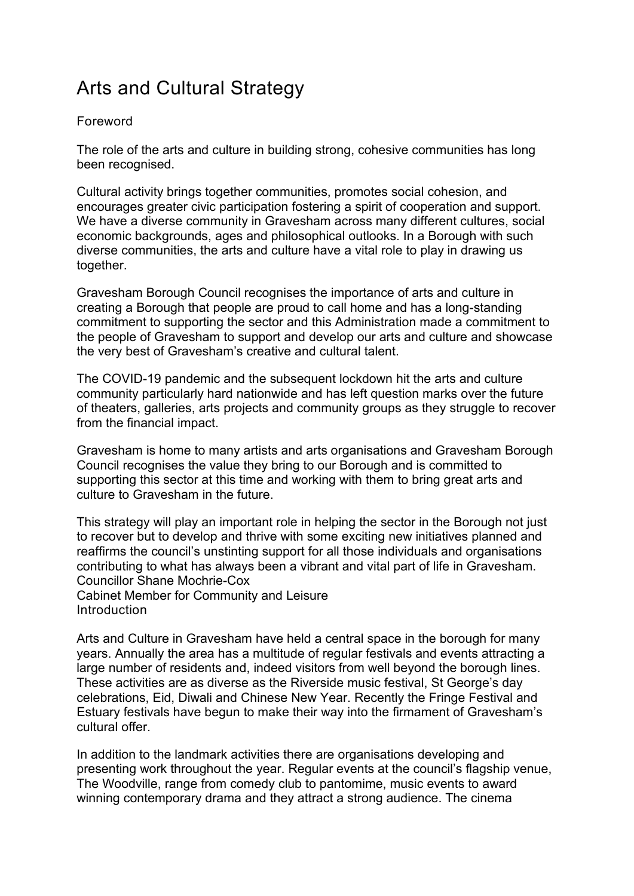## Arts and Cultural Strategy

## Foreword

The role of the arts and culture in building strong, cohesive communities has long been recognised.

Cultural activity brings together communities, promotes social cohesion, and encourages greater civic participation fostering a spirit of cooperation and support. We have a diverse community in Gravesham across many different cultures, social economic backgrounds, ages and philosophical outlooks. In a Borough with such diverse communities, the arts and culture have a vital role to play in drawing us together.

Gravesham Borough Council recognises the importance of arts and culture in creating a Borough that people are proud to call home and has a long-standing commitment to supporting the sector and this Administration made a commitment to the people of Gravesham to support and develop our arts and culture and showcase the very best of Gravesham's creative and cultural talent.

The COVID-19 pandemic and the subsequent lockdown hit the arts and culture community particularly hard nationwide and has left question marks over the future of theaters, galleries, arts projects and community groups as they struggle to recover from the financial impact.

Gravesham is home to many artists and arts organisations and Gravesham Borough Council recognises the value they bring to our Borough and is committed to supporting this sector at this time and working with them to bring great arts and culture to Gravesham in the future.

This strategy will play an important role in helping the sector in the Borough not just to recover but to develop and thrive with some exciting new initiatives planned and reaffirms the council's unstinting support for all those individuals and organisations contributing to what has always been a vibrant and vital part of life in Gravesham. Councillor Shane Mochrie-Cox

Cabinet Member for Community and Leisure Introduction

Arts and Culture in Gravesham have held a central space in the borough for many years. Annually the area has a multitude of regular festivals and events attracting a large number of residents and, indeed visitors from well beyond the borough lines. These activities are as diverse as the Riverside music festival, St George's day celebrations, Eid, Diwali and Chinese New Year. Recently the Fringe Festival and Estuary festivals have begun to make their way into the firmament of Gravesham's cultural offer.

In addition to the landmark activities there are organisations developing and presenting work throughout the year. Regular events at the council's flagship venue, The Woodville, range from comedy club to pantomime, music events to award winning contemporary drama and they attract a strong audience. The cinema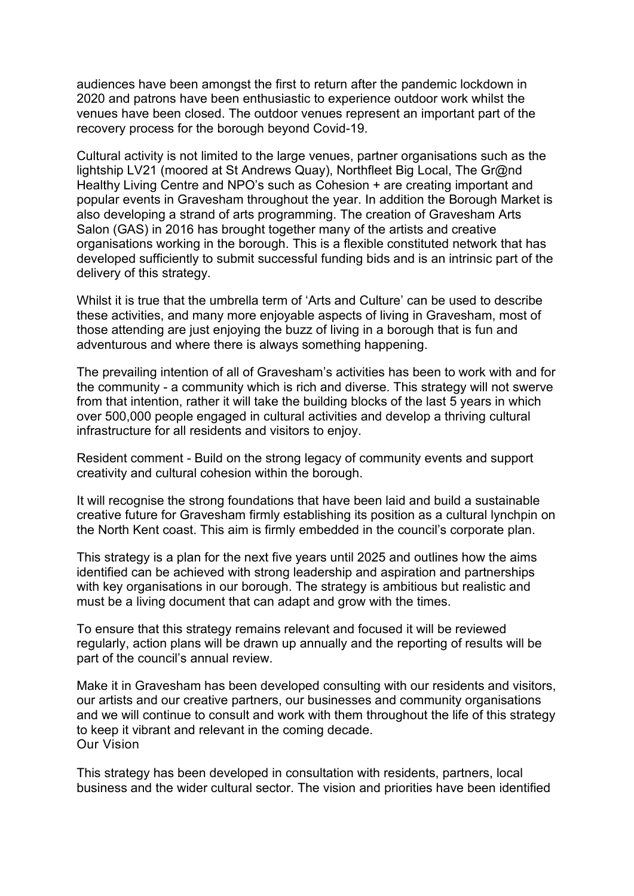audiences have been amongst the first to return after the pandemic lockdown in 2020 and patrons have been enthusiastic to experience outdoor work whilst the venues have been closed. The outdoor venues represent an important part of the recovery process for the borough beyond Covid-19.

Cultural activity is not limited to the large venues, partner organisations such as the lightship LV21 (moored at St Andrews Quay), Northfleet Big Local, The Gr@nd Healthy Living Centre and NPO's such as Cohesion + are creating important and popular events in Gravesham throughout the year. In addition the Borough Market is also developing a strand of arts programming. The creation of Gravesham Arts Salon (GAS) in 2016 has brought together many of the artists and creative organisations working in the borough. This is a flexible constituted network that has developed sufficiently to submit successful funding bids and is an intrinsic part of the delivery of this strategy.

Whilst it is true that the umbrella term of 'Arts and Culture' can be used to describe these activities, and many more enjoyable aspects of living in Gravesham, most of those attending are just enjoying the buzz of living in a borough that is fun and adventurous and where there is always something happening.

The prevailing intention of all of Gravesham's activities has been to work with and for the community - a community which is rich and diverse. This strategy will not swerve from that intention, rather it will take the building blocks of the last 5 years in which over 500,000 people engaged in cultural activities and develop a thriving cultural infrastructure for all residents and visitors to enjoy.

Resident comment - Build on the strong legacy of community events and support creativity and cultural cohesion within the borough.

It will recognise the strong foundations that have been laid and build a sustainable creative future for Gravesham firmly establishing its position as a cultural lynchpin on the North Kent coast. This aim is firmly embedded in the council's corporate plan.

This strategy is a plan for the next five years until 2025 and outlines how the aims identified can be achieved with strong leadership and aspiration and partnerships with key organisations in our borough. The strategy is ambitious but realistic and must be a living document that can adapt and grow with the times.

To ensure that this strategy remains relevant and focused it will be reviewed regularly, action plans will be drawn up annually and the reporting of results will be part of the council's annual review.

Make it in Gravesham has been developed consulting with our residents and visitors, our artists and our creative partners, our businesses and community organisations and we will continue to consult and work with them throughout the life of this strategy to keep it vibrant and relevant in the coming decade. Our Vision

This strategy has been developed in consultation with residents, partners, local business and the wider cultural sector. The vision and priorities have been identified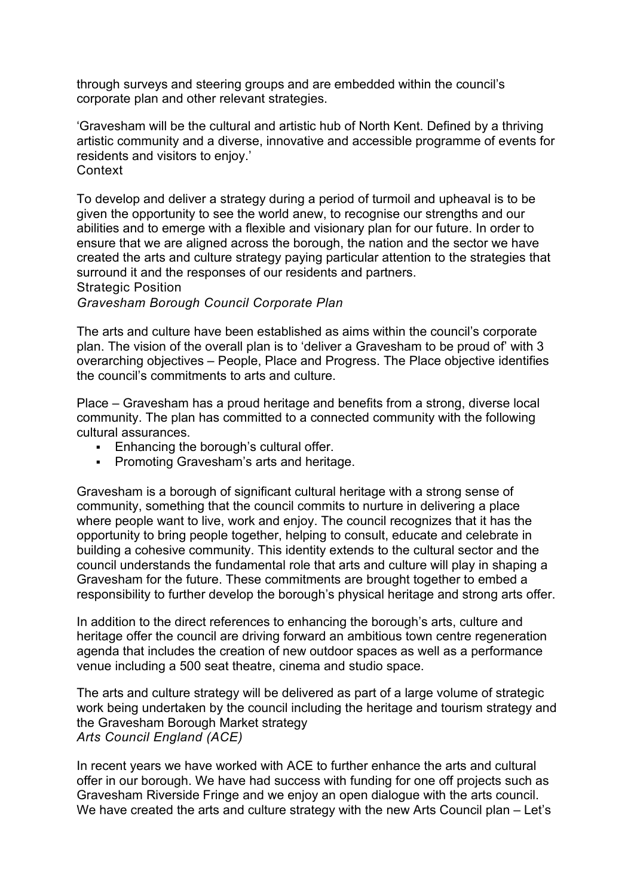through surveys and steering groups and are embedded within the council's corporate plan and other relevant strategies.

'Gravesham will be the cultural and artistic hub of North Kent. Defined by a thriving artistic community and a diverse, innovative and accessible programme of events for residents and visitors to enjoy.' **Context** 

To develop and deliver a strategy during a period of turmoil and upheaval is to be given the opportunity to see the world anew, to recognise our strengths and our abilities and to emerge with a flexible and visionary plan for our future. In order to ensure that we are aligned across the borough, the nation and the sector we have created the arts and culture strategy paying particular attention to the strategies that surround it and the responses of our residents and partners.

Strategic Position

*Gravesham Borough Council Corporate Plan*

The arts and culture have been established as aims within the council's corporate plan. The vision of the overall plan is to 'deliver a Gravesham to be proud of' with 3 overarching objectives – People, Place and Progress. The Place objective identifies the council's commitments to arts and culture.

Place – Gravesham has a proud heritage and benefits from a strong, diverse local community. The plan has committed to a connected community with the following cultural assurances.

- Enhancing the borough's cultural offer.
- Promoting Gravesham's arts and heritage.

Gravesham is a borough of significant cultural heritage with a strong sense of community, something that the council commits to nurture in delivering a place where people want to live, work and enjoy. The council recognizes that it has the opportunity to bring people together, helping to consult, educate and celebrate in building a cohesive community. This identity extends to the cultural sector and the council understands the fundamental role that arts and culture will play in shaping a Gravesham for the future. These commitments are brought together to embed a responsibility to further develop the borough's physical heritage and strong arts offer.

In addition to the direct references to enhancing the borough's arts, culture and heritage offer the council are driving forward an ambitious town centre regeneration agenda that includes the creation of new outdoor spaces as well as a performance venue including a 500 seat theatre, cinema and studio space.

The arts and culture strategy will be delivered as part of a large volume of strategic work being undertaken by the council including the heritage and tourism strategy and the Gravesham Borough Market strategy *Arts Council England (ACE)*

In recent years we have worked with ACE to further enhance the arts and cultural offer in our borough. We have had success with funding for one off projects such as Gravesham Riverside Fringe and we enjoy an open dialogue with the arts council. We have created the arts and culture strategy with the new Arts Council plan – Let's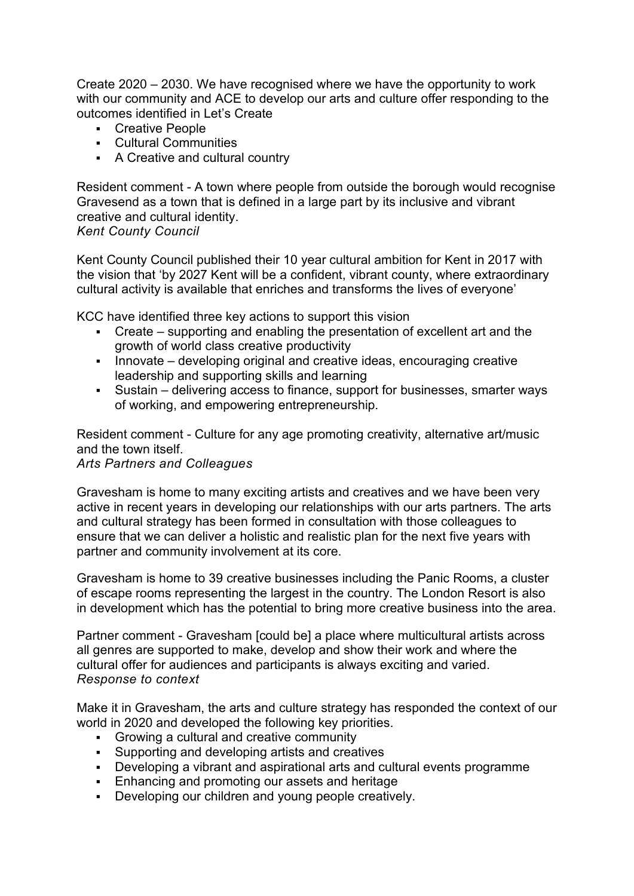Create 2020 – 2030. We have recognised where we have the opportunity to work with our community and ACE to develop our arts and culture offer responding to the outcomes identified in Let's Create

- Creative People
- Cultural Communities
- A Creative and cultural country

Resident comment - A town where people from outside the borough would recognise Gravesend as a town that is defined in a large part by its inclusive and vibrant creative and cultural identity.

## *Kent County Council*

Kent County Council published their 10 year cultural ambition for Kent in 2017 with the vision that 'by 2027 Kent will be a confident, vibrant county, where extraordinary cultural activity is available that enriches and transforms the lives of everyone'

KCC have identified three key actions to support this vision

- Create supporting and enabling the presentation of excellent art and the growth of world class creative productivity
- Innovate developing original and creative ideas, encouraging creative leadership and supporting skills and learning
- Sustain delivering access to finance, support for businesses, smarter ways of working, and empowering entrepreneurship.

Resident comment - Culture for any age promoting creativity, alternative art/music and the town itself.

## *Arts Partners and Colleagues*

Gravesham is home to many exciting artists and creatives and we have been very active in recent years in developing our relationships with our arts partners. The arts and cultural strategy has been formed in consultation with those colleagues to ensure that we can deliver a holistic and realistic plan for the next five years with partner and community involvement at its core.

Gravesham is home to 39 creative businesses including the Panic Rooms, a cluster of escape rooms representing the largest in the country. The London Resort is also in development which has the potential to bring more creative business into the area.

Partner comment - Gravesham [could be] a place where multicultural artists across all genres are supported to make, develop and show their work and where the cultural offer for audiences and participants is always exciting and varied. *Response to context*

Make it in Gravesham, the arts and culture strategy has responded the context of our world in 2020 and developed the following key priorities.

- Growing a cultural and creative community
- Supporting and developing artists and creatives
- Developing a vibrant and aspirational arts and cultural events programme
- **Enhancing and promoting our assets and heritage**
- Developing our children and young people creatively.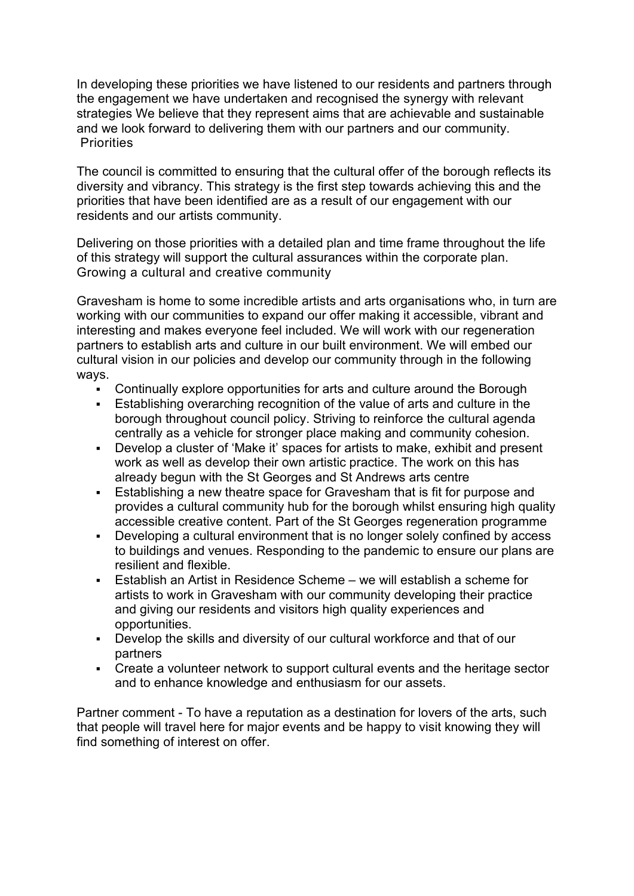In developing these priorities we have listened to our residents and partners through the engagement we have undertaken and recognised the synergy with relevant strategies We believe that they represent aims that are achievable and sustainable and we look forward to delivering them with our partners and our community. **Priorities** 

The council is committed to ensuring that the cultural offer of the borough reflects its diversity and vibrancy. This strategy is the first step towards achieving this and the priorities that have been identified are as a result of our engagement with our residents and our artists community.

Delivering on those priorities with a detailed plan and time frame throughout the life of this strategy will support the cultural assurances within the corporate plan. Growing a cultural and creative community

Gravesham is home to some incredible artists and arts organisations who, in turn are working with our communities to expand our offer making it accessible, vibrant and interesting and makes everyone feel included. We will work with our regeneration partners to establish arts and culture in our built environment. We will embed our cultural vision in our policies and develop our community through in the following ways.

- Continually explore opportunities for arts and culture around the Borough
- Establishing overarching recognition of the value of arts and culture in the borough throughout council policy. Striving to reinforce the cultural agenda centrally as a vehicle for stronger place making and community cohesion.
- Develop a cluster of 'Make it' spaces for artists to make, exhibit and present work as well as develop their own artistic practice. The work on this has already begun with the St Georges and St Andrews arts centre
- Establishing a new theatre space for Gravesham that is fit for purpose and provides a cultural community hub for the borough whilst ensuring high quality accessible creative content. Part of the St Georges regeneration programme
- Developing a cultural environment that is no longer solely confined by access to buildings and venues. Responding to the pandemic to ensure our plans are resilient and flexible.
- Establish an Artist in Residence Scheme we will establish a scheme for artists to work in Gravesham with our community developing their practice and giving our residents and visitors high quality experiences and opportunities.
- Develop the skills and diversity of our cultural workforce and that of our partners
- Create a volunteer network to support cultural events and the heritage sector and to enhance knowledge and enthusiasm for our assets.

Partner comment - To have a reputation as a destination for lovers of the arts, such that people will travel here for major events and be happy to visit knowing they will find something of interest on offer.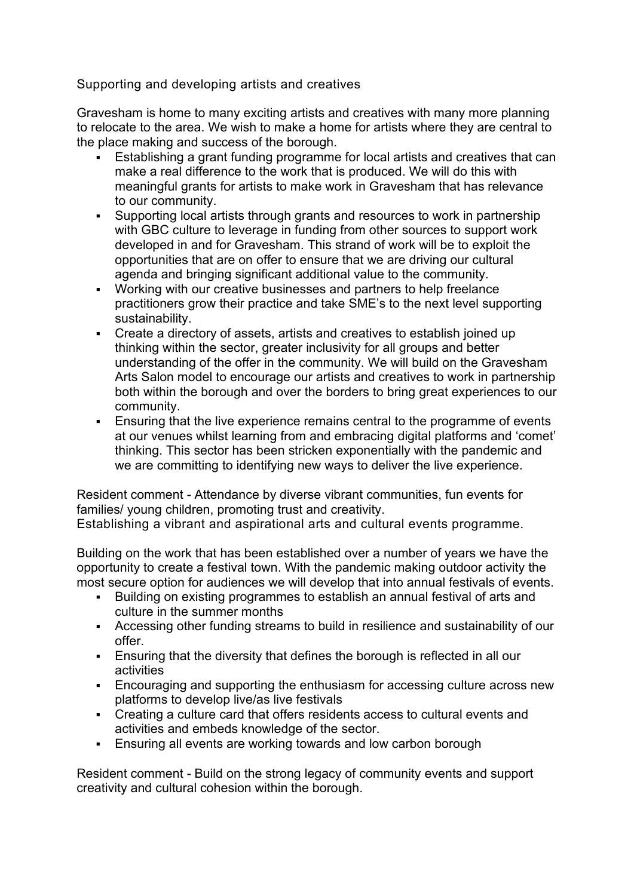Supporting and developing artists and creatives

Gravesham is home to many exciting artists and creatives with many more planning to relocate to the area. We wish to make a home for artists where they are central to the place making and success of the borough.

- Establishing a grant funding programme for local artists and creatives that can make a real difference to the work that is produced. We will do this with meaningful grants for artists to make work in Gravesham that has relevance to our community.
- Supporting local artists through grants and resources to work in partnership with GBC culture to leverage in funding from other sources to support work developed in and for Gravesham. This strand of work will be to exploit the opportunities that are on offer to ensure that we are driving our cultural agenda and bringing significant additional value to the community.
- Working with our creative businesses and partners to help freelance practitioners grow their practice and take SME's to the next level supporting sustainability.
- Create a directory of assets, artists and creatives to establish joined up thinking within the sector, greater inclusivity for all groups and better understanding of the offer in the community. We will build on the Gravesham Arts Salon model to encourage our artists and creatives to work in partnership both within the borough and over the borders to bring great experiences to our community.
- Ensuring that the live experience remains central to the programme of events at our venues whilst learning from and embracing digital platforms and 'comet' thinking. This sector has been stricken exponentially with the pandemic and we are committing to identifying new ways to deliver the live experience.

Resident comment - Attendance by diverse vibrant communities, fun events for families/ young children, promoting trust and creativity.

Establishing a vibrant and aspirational arts and cultural events programme.

Building on the work that has been established over a number of years we have the opportunity to create a festival town. With the pandemic making outdoor activity the most secure option for audiences we will develop that into annual festivals of events.

- Building on existing programmes to establish an annual festival of arts and culture in the summer months
- Accessing other funding streams to build in resilience and sustainability of our offer.
- Ensuring that the diversity that defines the borough is reflected in all our activities
- Encouraging and supporting the enthusiasm for accessing culture across new platforms to develop live/as live festivals
- Creating a culture card that offers residents access to cultural events and activities and embeds knowledge of the sector.
- **Ensuring all events are working towards and low carbon borough**

Resident comment - Build on the strong legacy of community events and support creativity and cultural cohesion within the borough.